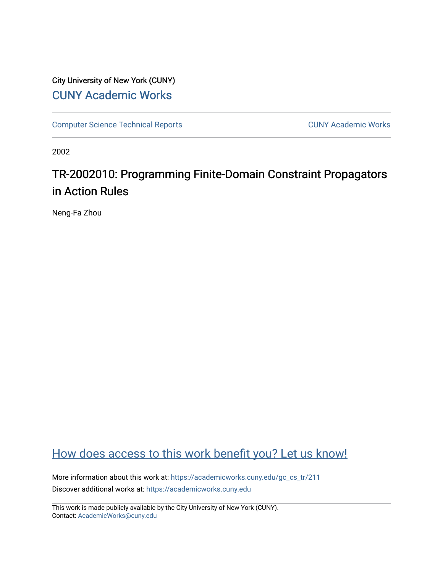# City University of New York (CUNY) [CUNY Academic Works](https://academicworks.cuny.edu/)

[Computer Science Technical Reports](https://academicworks.cuny.edu/gc_cs_tr) **CUNY Academic Works** CUNY Academic Works

2002

# TR-2002010: Programming Finite-Domain Constraint Propagators in Action Rules

Neng-Fa Zhou

# [How does access to this work benefit you? Let us know!](http://ols.cuny.edu/academicworks/?ref=https://academicworks.cuny.edu/gc_cs_tr/211)

More information about this work at: [https://academicworks.cuny.edu/gc\\_cs\\_tr/211](https://academicworks.cuny.edu/gc_cs_tr/211)  Discover additional works at: [https://academicworks.cuny.edu](https://academicworks.cuny.edu/?)

This work is made publicly available by the City University of New York (CUNY). Contact: [AcademicWorks@cuny.edu](mailto:AcademicWorks@cuny.edu)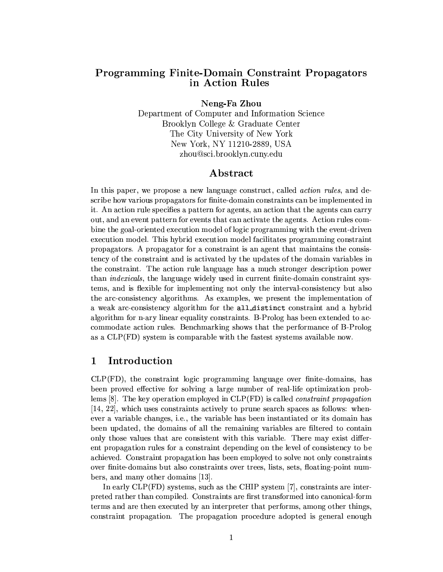# **Programming Finite-Domain Constraint Propagators** in Action Rules

Neng-Fa Zhou

Department of Computer and Information Science Brooklyn College & Graduate Center The City University of New York New York, NY 11210-2889, USA zhou@sci.brooklyn.cuny.edu

# ${\bf Abstract}$

In this paper, we propose a new language construct, called *action rules*, and describe how various propagators for finite-domain constraints can be implemented in it. An action rule specifies a pattern for agents, an action that the agents can carry out, and an event pattern for events that can activate the agents. Action rules combine the goal-oriented execution model of logic programming with the event-driven execution model. This hybrid execution model facilitates programming constraint propagators. A propagator for a constraint is an agent that maintains the consistency of the constraint and is activated by the updates of the domain variables in the constraint. The action rule language has a much stronger description power than *indexicals*, the language widely used in current finite-domain constraint systems, and is flexible for implementing not only the interval-consistency but also the arc-consistency algorithms. As examples, we present the implementation of a weak arc-consistency algorithm for the all distinct constraint and a hybrid algorithm for n-ary linear equality constraints. B-Prolog has been extended to accommodate action rules. Benchmarking shows that the performance of B-Prolog as a CLP(FD) system is comparable with the fastest systems available now.

#### 1 Introduction

 $CLP(FD)$ , the constraint logic programming language over finite-domains, has been proved effective for solving a large number of real-life optimization problems [8]. The key operation employed in  $CLP(FD)$  is called *constraint propagation*  $[14, 22]$ , which uses constraints actively to prune search spaces as follows: whenever a variable changes, i.e., the variable has been instantiated or its domain has been updated, the domains of all the remaining variables are filtered to contain only those values that are consistent with this variable. There may exist different propagation rules for a constraint depending on the level of consistency to be achieved. Constraint propagation has been employed to solve not only constraints over finite-domains but also constraints over trees, lists, sets, floating-point numbers, and many other domains [13].

In early  $CLP(FD)$  systems, such as the CHIP system [7], constraints are interpreted rather than compiled. Constraints are first transformed into canonical-form terms and are then executed by an interpreter that performs, among other things, constraint propagation. The propagation procedure adopted is general enough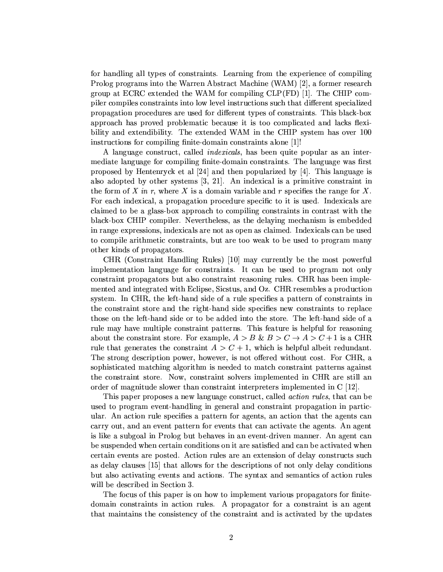for handling all types of constraints. Learning from the experience of compiling Prolog programs into the Warren Abstract Machine (WAM) [2], a former research group at ECRC extended the WAM for compiling  $CLP(FD)$  [1]. The CHIP compiler compiles constraints into low level instructions such that different specialized propagation procedures are used for different types of constraints. This black-box approach has proved problematic because it is too complicated and lacks flexibility and extendibility. The extended WAM in the CHIP system has over 100 instructions for compiling finite-domain constraints alone [1]!

A language construct, called *indexicals*, has been quite popular as an intermediate language for compiling finite-domain constraints. The language was first proposed by Hentenryck et al  $[24]$  and then popularized by [4]. This language is also adopted by other systems  $[3, 21]$ . An indexical is a primitive constraint in the form of X in r, where X is a domain variable and r specifies the range for X. For each indexical, a propagation procedure specific to it is used. Indexicals are claimed to be a glass-box approach to compiling constraints in contrast with the black-box CHIP compiler. Nevertheless, as the delaying mechanism is embedded in range expressions, indexicals are not as open as claimed. Indexicals can be used to compile arithmetic constraints, but are too weak to be used to program many other kinds of propagators.

CHR (Constraint Handling Rules) [10] may currently be the most powerful implementation language for constraints. It can be used to program not only constraint propagators but also constraint reasoning rules. CHR has been implemented and integrated with Eclipse, Sicstus, and Oz. CHR resembles a production system. In CHR, the left-hand side of a rule specifies a pattern of constraints in the constraint store and the right-hand side specifies new constraints to replace those on the left-hand side or to be added into the store. The left-hand side of a rule may have multiple constraint patterns. This feature is helpful for reasoning about the constraint store. For example,  $A > B \& B > C \rightarrow A > C + 1$  is a CHR rule that generates the constraint  $A > C + 1$ , which is helpful albeit redundant. The strong description power, however, is not offered without cost. For CHR, a sophisticated matching algorithm is needed to match constraint patterns against the constraint store. Now, constraint solvers implemented in CHR are still an order of magnitude slower than constraint interpreters implemented in  $C$  [12].

This paper proposes a new language construct, called *action rules*, that can be used to program event-handling in general and constraint propagation in particular. An action rule specifies a pattern for agents, an action that the agents can carry out, and an event pattern for events that can activate the agents. An agent is like a subgoal in Prolog but behaves in an event-driven manner. An agent can be suspended when certain conditions on it are satisfied and can be activated when certain events are posted. Action rules are an extension of delay constructs such as delay clauses [15] that allows for the descriptions of not only delay conditions but also activating events and actions. The syntax and semantics of action rules will be described in Section 3.

The focus of this paper is on how to implement various propagators for finitedomain constraints in action rules. A propagator for a constraint is an agent that maintains the consistency of the constraint and is activated by the updates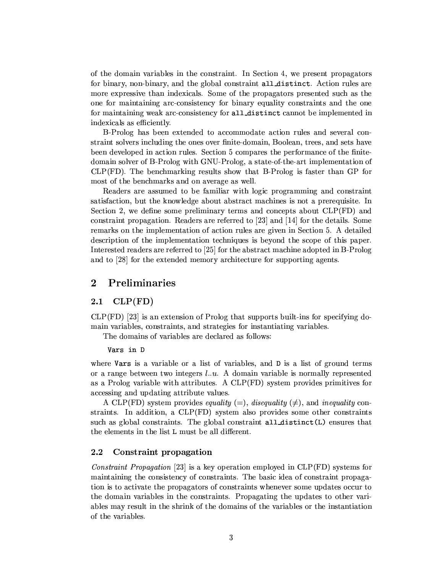of the domain variables in the constraint. In Section 4, we present propagators for binary, non-binary, and the global constraint all distinct. Action rules are more expressive than indexicals. Some of the propagators presented such as the one for maintaining arc-consistency for binary equality constraints and the one for maintaining weak arc-consistency for all\_distinct cannot be implemented in indexicals as efficiently.

B-Prolog has been extended to accommodate action rules and several constraint solvers including the ones over finite-domain, Boolean, trees, and sets have been developed in action rules. Section 5 compares the performance of the finitedomain solver of B-Prolog with GNU-Prolog, a state-of-the-art implementation of  $CLP(FD)$ . The benchmarking results show that B-Prolog is faster than GP for most of the benchmarks and on average as well.

Readers are assumed to be familiar with logic programming and constraint satisfaction, but the knowledge about abstract machines is not a prerequisite. In Section 2, we define some preliminary terms and concepts about CLP(FD) and constraint propagation. Readers are referred to [23] and [14] for the details. Some remarks on the implementation of action rules are given in Section 5. A detailed description of the implementation techniques is beyond the scope of this paper. Interested readers are referred to [25] for the abstract machine adopted in B-Prolog and to [28] for the extended memory architecture for supporting agents.

#### $\overline{2}$ Preliminaries

#### $2.1$  $CLP(FD)$

 $CLP(FD)$  [23] is an extension of Prolog that supports built-ins for specifying domain variables, constraints, and strategies for instantiating variables.

The domains of variables are declared as follows:

## Vars in D

where Vars is a variable or a list of variables, and D is a list of ground terms or a range between two integers  $l..u$ . A domain variable is normally represented as a Prolog variable with attributes. A CLP(FD) system provides primitives for accessing and updating attribute values.

A CLP(FD) system provides equality (=), disequality ( $\neq$ ), and inequality constraints. In addition, a CLP(FD) system also provides some other constraints such as global constraints. The global constraint all distinct (L) ensures that the elements in the list L must be all different.

#### $2.2$ Constraint propagation

*Constraint Propagation* [23] is a key operation employed in CLP(FD) systems for maintaining the consistency of constraints. The basic idea of constraint propagation is to activate the propagators of constraints whenever some updates occur to the domain variables in the constraints. Propagating the updates to other variables may result in the shrink of the domains of the variables or the instantiation of the variables.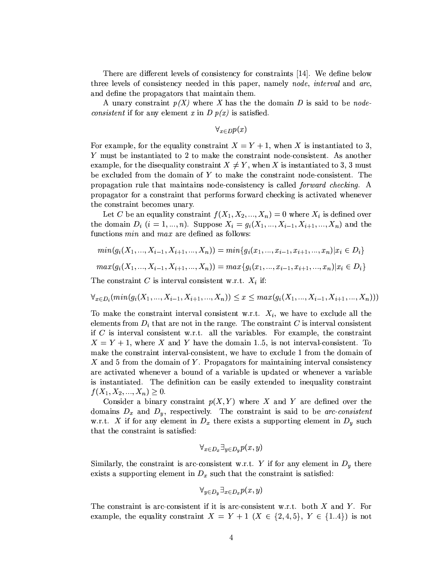There are different levels of consistency for constraints [14]. We define below three levels of consistency needed in this paper, namely node, interval and arc, and define the propagators that maintain them.

A unary constraint  $p(X)$  where X has the the domain D is said to be node*consistent* if for any element x in  $D p(x)$  is satisfied.

$$
\forall_{x\in D}p(x)
$$

For example, for the equality constraint  $X = Y + 1$ , when X is instantiated to 3, Y must be instantiated to 2 to make the constraint node-consistent. As another example, for the disequality constraint  $X \neq Y$ , when X is instantiated to 3, 3 must be excluded from the domain of Y to make the constraint node-consistent. The propagation rule that maintains node-consistency is called *forward checking*. A propagator for a constraint that performs forward checking is activated whenever the constraint becomes unary.

Let C be an equality constraint  $f(X_1, X_2, ..., X_n) = 0$  where  $X_i$  is defined over the domain  $D_i$   $(i = 1, ..., n)$ . Suppose  $X_i = g_i(X_1, ..., X_{i-1}, X_{i+1}, ..., X_n)$  and the functions *min* and *max* are defined as follows:

$$
min(g_i(X_1, ..., X_{i-1}, X_{i+1}, ..., X_n)) = min\{g_i(x_1, ..., x_{i-1}, x_{i+1}, ..., x_n)|x_i \in D_i\}
$$

$$
max(g_i(X_1, ..., X_{i-1}, X_{i+1}, ..., X_n)) = max\{g_i(x_1, ..., x_{i-1}, x_{i+1}, ..., x_n)|x_i \in D_i\}
$$

The constraint C is interval consistent w.r.t.  $X_i$  if:

$$
\forall_{x \in D_i} (min(g_i(X_1, ..., X_{i-1}, X_{i+1}, ..., X_n)) \le x \le max(g_i(X_1, ..., X_{i-1}, X_{i+1}, ..., X_n)))
$$

To make the constraint interval consistent w.r.t.  $X_i$ , we have to exclude all the elements from  $D_i$  that are not in the range. The constraint C is interval consistent if  $C$  is interval consistent w.r.t. all the variables. For example, the constraint  $X = Y + 1$ , where X and Y have the domain 1..5, is not interval consistent. To make the constraint interval-consistent, we have to exclude 1 from the domain of  $X$  and 5 from the domain of Y. Propagators for maintaining interval consistency are activated whenever a bound of a variable is updated or whenever a variable is instantiated. The definition can be easily extended to inequality constraint  $f(X_1, X_2, ..., X_n) \geq 0.$ 

Consider a binary constraint  $p(X, Y)$  where X and Y are defined over the domains  $D_x$  and  $D_y$ , respectively. The constraint is said to be arc-consistent w.r.t. X if for any element in  $D_x$  there exists a supporting element in  $D_y$  such that the constraint is satisfied:

$$
\forall_{x \in D_x} \exists_{y \in D_y} p(x, y)
$$

Similarly, the constraint is arc-consistent w.r.t. Y if for any element in  $D_y$  there exists a supporting element in  $D_x$  such that the constraint is satisfied:

$$
\forall_{y \in D_y} \exists_{x \in D_x} p(x, y)
$$

The constraint is arc-consistent if it is arc-consistent w.r.t. both  $X$  and  $Y$ . For example, the equality constraint  $X = Y + 1$   $(X \in \{2,4,5\}, Y \in \{1..4\})$  is not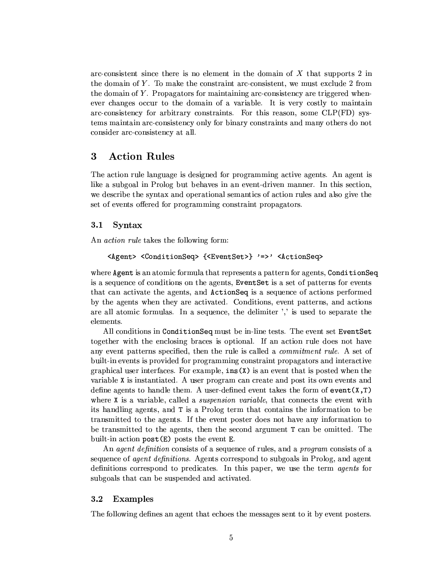arc-consistent since there is no element in the domain of  $X$  that supports 2 in the domain of Y. To make the constraint arc-consistent, we must exclude 2 from the domain of  $Y$ . Propagators for maintaining arc-consistency are triggered whenever changes occur to the domain of a variable. It is very costly to maintain arc-consistency for arbitrary constraints. For this reason, some  $CLP(FD)$  systems maintain arc-consistency only for binary constraints and many others do not consider arc-consistency at all.

#### 3 **Action Rules**

The action rule language is designed for programming active agents. An agent is like a subgoal in Prolog but behaves in an event-driven manner. In this section, we describe the syntax and operational semantics of action rules and also give the set of events offered for programming constraint propagators.

#### $3.1$  $\mathbf{Syntax}$

An *action rule* takes the following form:

```
<Agent> <ConditionSeq> {<EventSet>} '=>' <ActionSeq>
```
where Agent is an atomic formula that represents a pattern for agents, ConditionSeq is a sequence of conditions on the agents, EventSet is a set of patterns for events that can activate the agents, and ActionSeq is a sequence of actions performed by the agents when they are activated. Conditions, event patterns, and actions are all atomic formulas. In a sequence, the delimiter ',' is used to separate the elements.

All conditions in ConditionSeq must be in-line tests. The event set EventSet together with the enclosing braces is optional. If an action rule does not have any event patterns specified, then the rule is called a *commitment rule*. A set of built-in events is provided for programming constraint propagators and interactive graphical user interfaces. For example,  $ins(X)$  is an event that is posted when the variable X is instantiated. A user program can create and post its own events and define agents to handle them. A user-defined event takes the form of event  $(X, T)$ where X is a variable, called a *suspension variable*, that connects the event with its handling agents, and T is a Prolog term that contains the information to be transmitted to the agents. If the event poster does not have any information to be transmitted to the agents, then the second argument T can be omitted. The built-in action  $post(E)$  posts the event  $E$ .

An *agent definition* consists of a sequence of rules, and a *program* consists of a sequence of *agent definitions*. Agents correspond to subgoals in Prolog, and agent definitions correspond to predicates. In this paper, we use the term *agents* for subgoals that can be suspended and activated.

#### $3.2$ **Examples**

The following defines an agent that echoes the messages sent to it by event posters.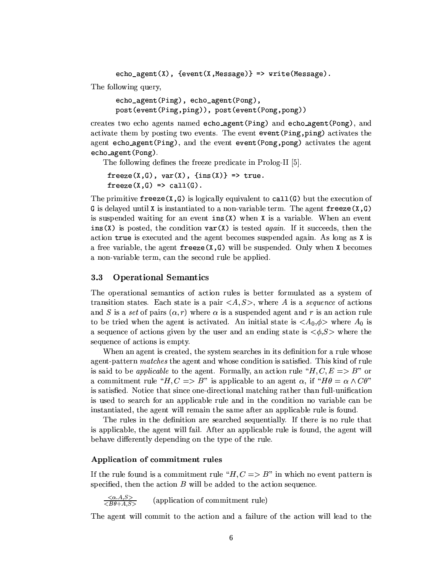$echo\_\texttt{agent}(X)$ ,  $\{event(X, Message)\} \Rightarrow write(Message)$ .

The following query,

```
echo_agent(Ping), echo_agent(Pong),
post(event(Ping,ping)), post(event(Pong,pong))
```
creates two echo agents named echo\_agent(Ping) and echo\_agent(Pong), and activate them by posting two events. The event event (Ping, ping) activates the agent echo\_agent(Ping), and the event event(Pong,pong) activates the agent echo\_agent(Pong).

The following defines the freeze predicate in Prolog-II [5].

 $\text{freeze}(X, G), \text{var}(X), \text{ins}(X)$  => true.  $freeze(X,G) => call(G).$ 

The primitive  ${\bf freeze}(X,G)$  is logically equivalent to call (G) but the execution of G is delayed until X is instantiated to a non-variable term. The agent  $freeze(X, G)$ is suspended waiting for an event  $ins(X)$  when X is a variable. When an event ins (X) is posted, the condition  $var(X)$  is tested *again*. If it succeeds, then the action true is executed and the agent becomes suspended again. As long as X is a free variable, the agent  $freeze(X, G)$  will be suspended. Only when X becomes a non-variable term, can the second rule be applied.

#### **Operational Semantics** 3.3

The operational semantics of action rules is better formulated as a system of transition states. Each state is a pair  $\langle A, S \rangle$ , where A is a *sequence* of actions and S is a set of pairs  $(\alpha, r)$  where  $\alpha$  is a suspended agent and r is an action rule to be tried when the agent is activated. An initial state is  $\langle A_0, \phi \rangle$  where  $A_0$  is a sequence of actions given by the user and an ending state is  $\langle \phi, S \rangle$  where the sequence of actions is empty.

When an agent is created, the system searches in its definition for a rule whose agent-pattern matches the agent and whose condition is satisfied. This kind of rule is said to be *applicable* to the agent. Formally, an action rule "H, C,  $E \Rightarrow B$ " or a commitment rule "H,  $C \Rightarrow B$ " is applicable to an agent  $\alpha$ , if "H $\theta = \alpha \wedge C\theta$ " is satisfied. Notice that since one-directional matching rather than full-unification is used to search for an applicable rule and in the condition no variable can be instantiated, the agent will remain the same after an applicable rule is found.

The rules in the definition are searched sequentially. If there is no rule that is applicable, the agent will fail. After an applicable rule is found, the agent will behave differently depending on the type of the rule.

### Application of commitment rules

If the rule found is a commitment rule " $H, C \implies B$ " in which no event pattern is specified, then the action  $B$  will be added to the action sequence.

 $\langle \alpha A, S \rangle$ (application of commitment rule)  $\overline{<}$ B $\theta + A$ , S

The agent will commit to the action and a failure of the action will lead to the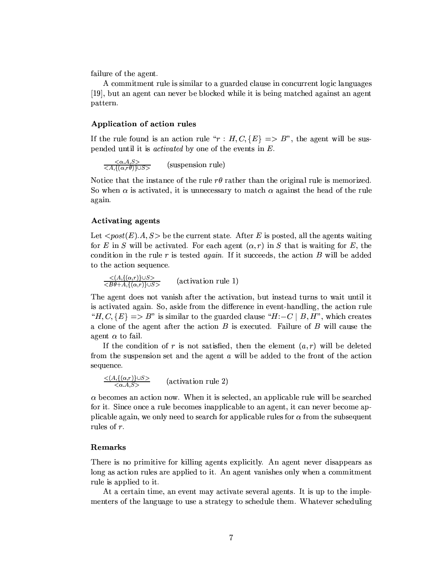failure of the agent.

A commitment rule is similar to a guarded clause in concurrent logic languages [19], but an agent can never be blocked while it is being matched against an agent pattern.

## Application of action rules

If the rule found is an action rule " $r : H, C, \{E\} \implies B$ ", the agent will be suspended until it is *activated* by one of the events in  $E$ .

$$
\frac{\langle \alpha.A, S \rangle}{\langle A, \{(\alpha,r\theta)\}\cup S \rangle}
$$
 (suspension rule)

Notice that the instance of the rule  $r\theta$  rather than the original rule is memorized. So when  $\alpha$  is activated, it is unnecessary to match  $\alpha$  against the head of the rule again.

## **Activating agents**

Let  $. A, S be the current state. After E is posted, all the agents waiting$ for E in S will be activated. For each agent  $(\alpha, r)$  in S that is waiting for E, the condition in the rule r is tested *again*. If it succeeds, the action  $B$  will be added to the action sequence.

$$
\frac{\langle (A,\{(a,r)\} \cup S \rangle}{\langle B\theta + A,\{(a,r)\} \cup S \rangle} \qquad \text{(activation rule 1)}
$$

The agent does not vanish after the activation, but instead turns to wait until it is activated again. So, aside from the difference in event-handling, the action rule "H,  $C, \{E\} \Rightarrow B$ " is similar to the guarded clause "H:-C | B, H", which creates a clone of the agent after the action  $B$  is executed. Failure of  $B$  will cause the agent  $\alpha$  to fail.

If the condition of r is not satisfied, then the element  $(a, r)$  will be deleted from the suspension set and the agent  $a$  will be added to the front of the action sequence.

$$
\frac{\langle (A, \{(\alpha,r)\} \cup S \rangle}{\langle \alpha, A, S \rangle} \qquad \text{(activation rule 2)}
$$

 $\alpha$  becomes an action now. When it is selected, an applicable rule will be searched for it. Since once a rule becomes inapplicable to an agent, it can never become applicable again, we only need to search for applicable rules for  $\alpha$  from the subsequent rules of  $r$ .

## Remarks

There is no primitive for killing agents explicitly. An agent never disappears as long as action rules are applied to it. An agent vanishes only when a commitment rule is applied to it.

At a certain time, an event may activate several agents. It is up to the implementers of the language to use a strategy to schedule them. Whatever scheduling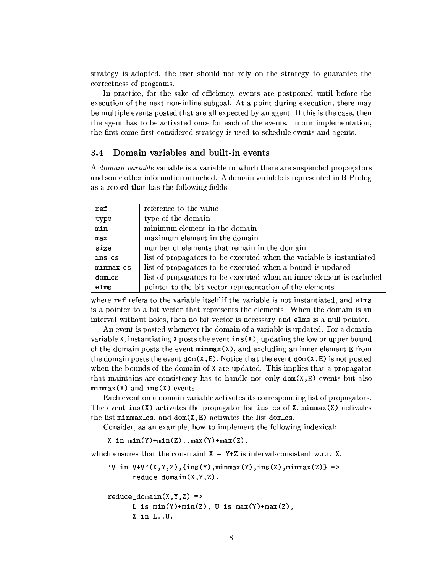strategy is adopted, the user should not rely on the strategy to guarantee the correctness of programs.

In practice, for the sake of efficiency, events are postponed until before the execution of the next non-inline subgoal. At a point during execution, there may be multiple events posted that are all expected by an agent. If this is the case, then the agent has to be activated once for each of the events. In our implementation, the first-come-first-considered strategy is used to schedule events and agents.

#### Domain variables and built-in events  $3.4$

A *domain variable* variable is a variable to which there are suspended propagators and some other information attached. A domain variable is represented in B-Prolog as a record that has the following fields:

| ref       | reference to the value                                               |
|-----------|----------------------------------------------------------------------|
| type      | type of the domain                                                   |
| min       | minimum element in the domain                                        |
| max       | maximum element in the domain                                        |
| size      | number of elements that remain in the domain                         |
| ins_cs    | list of propagators to be executed when the variable is instantiated |
| minmax_cs | list of propagators to be executed when a bound is updated           |
| $dom_c s$ | list of propagators to be executed when an inner element is excluded |
| elms      | pointer to the bit vector representation of the elements             |

where ref refers to the variable itself if the variable is not instantiated, and elms is a pointer to a bit vector that represents the elements. When the domain is an interval without holes, then no bit vector is necessary and elms is a null pointer.

An event is posted whenever the domain of a variable is updated. For a domain variable  $X$ , instantiating  $X$  posts the event ins $(X)$ , updating the low or upper bound of the domain posts the event  $minmax(X)$ , and excluding an inner element  $E$  from the domain posts the event  $dom(X, E)$ . Notice that the event  $dom(X, E)$  is not posted when the bounds of the domain of **X** are updated. This implies that a propagator that maintains arc-consistency has to handle not only  $dom(X, E)$  events but also  $minmax(X)$  and  $ins(X)$  events.

Each event on a domain variable activates its corresponding list of propagators. The event ins  $(X)$  activates the propagator list ins. cs of X, minmax  $(X)$  activates the list minmax\_cs, and  $dom(X, E)$  activates the list dom\_cs.

Consider, as an example, how to implement the following indexical:

X in  $min(Y) + min(Z) \dots max(Y) + max(Z)$ .

which ensures that the constraint  $X = Y+Z$  is interval-consistent w.r.t. X.

```
'V in V+V'(X,Y,Z),{ins(Y),minmax(Y),ins(Z),minmax(Z)} =>
      reduce\_domain(X, Y, Z).
```

```
reduce\_domain(X, Y, Z) =>
      L is min(Y) + min(Z), U is max(Y) + max(Z),
      X in L..U.
```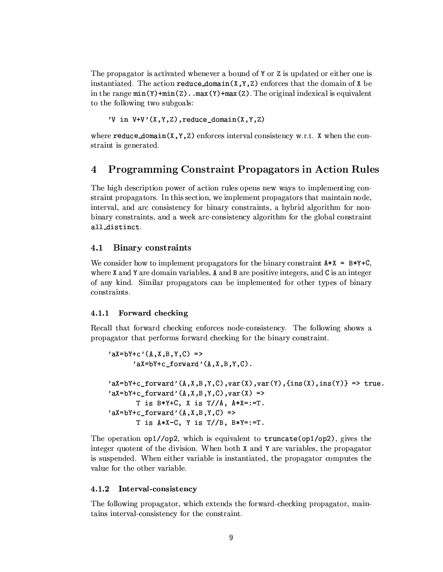The propagator is activated whenever a bound of Y or Z is updated or either one is instantiated. The action reduce-domain( $X, Y, Z$ ) enforces that the domain of  $X$  be in the range  $min(Y) + min(Z)$ .  $max(Y) + max(Z)$ . The original indexical is equivalent to the following two subgoals:

'V in  $V+V$ '(X,Y,Z), reduce\_domain(X,Y,Z)

where  $reduce\_domain(X, Y, Z)$  enforces interval consistency w.r.t. X when the constraint is generated.

#### **Programming Constraint Propagators in Action Rules**  $\boldsymbol{4}$

The high description power of action rules opens new ways to implementing constraint propagators. In this section, we implement propagators that maintain node, interval, and arc consistency for binary constraints, a hybrid algorithm for nonbinary constraints, and a week arc-consistency algorithm for the global constraint all\_distinct.

#### $4.1$ Binary constraints

We consider how to implement propagators for the binary constraint  $A*X = B*Y+C$ . where X and Y are domain variables, A and B are positive integers, and C is an integer of any kind. Similar propagators can be implemented for other types of binary constraints

#### $4.1.1$ **Forward checking**

Recall that forward checking enforces node-consistency. The following shows a propagator that performs forward checking for the binary constraint.

```
'aX=bY+c' (A, X, B, Y, C) =>
      'aX=bY+c_forward'(A,X,B,Y,C).'aX=bY+c_forward'(A,X,B,Y,C),var(X),var(Y),fins(X),ins(Y)=\gt true.'aX=bY+c_forward'(A,X,B,Y,C), var(X) =>
       T is B*Y+C, X is T//A, A*X==T.
'aX=bY+c_forward'(A,X,B,Y,C) =>
       T is A*X-C, Y is T//B, B*Y=:=T.
```
The operation  $op1//op2$ , which is equivalent to  $truncated(op1/op2)$ , gives the integer quotent of the division. When both X and Y are variables, the propagator is suspended. When either variable is instantiated, the propagator computes the value for the other variable.

#### Interval-consistency 4.1.2

The following propagator, which extends the forward-checking propagator, maintains interval-consistency for the constraint.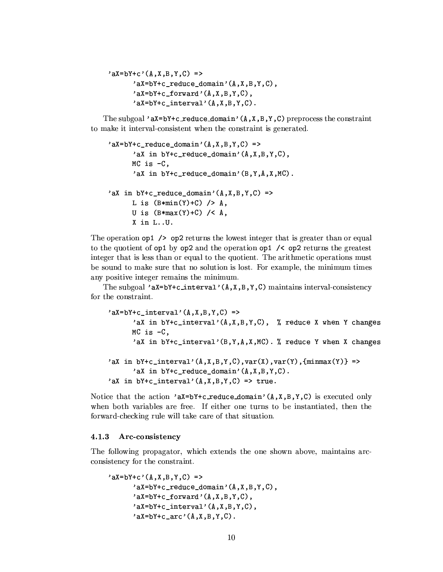```
x^2 - 2X = bY + c, (A, X, B, Y, C) ='aX=bY+c_reduce\_domain'(A, X, B, Y, C),'aX=bY+c_forward'(A,X,B,Y,C),
       'aX=bY+c_interval'(A,X,B,Y,C).
```
The subgoal 'aX=bY+c\_reduce\_domain'  $(A, X, B, Y, C)$  preprocess the constraint to make it interval-consistent when the constraint is generated.

```
'aX=bY+c_reduce\_domain'(A, X, B, Y, C) =>
      'aX in bY+c_reduce_domain'(A,X,B,Y,C),
      MC is -C,
      'aX in bY+c_reduce_domain'(B,Y,A,X,MC).
'aX in bY+c-reduce-domain' (A, X, B, Y, C) =>
      L is (B * min(Y) + C) /> A,
      U is (B*max(Y)+C) /< A,
      X in L..U.
```
The operation  $op1$  />  $op2$  returns the lowest integer that is greater than or equal to the quotient of  $op1$  by  $op2$  and the operation  $op1$  /<  $op2$  returns the greatest integer that is less than or equal to the quotient. The arithmetic operations must be sound to make sure that no solution is lost. For example, the minimum times any positive integer remains the minimum.

The subgoal 'aX=bY+c\_interval'( $A, X, B, Y, C$ ) maintains interval-consistency for the constraint.

```
'aX=bY+c interval'(A,X,B,Y,C) =>
      'aX in bY+c_interval'(A,X,B,Y,C), % reduce X when Y changes
     MC is -C.
      'aX in bY+c_interval'(B,Y,A,X,MC). % reduce Y when X changes
'aX in bY+c_interval'(A,X,B,Y,C),var(X),var(Y),{minmax(Y)} =>
      'aX in bY+c-reduce-domain'(A,X,B,Y,C).
'aX in bY+c_interval'(A, X, B, Y, C) => true.
```
Notice that the action 'aX=bY+c\_reduce\_domain'  $(A, X, B, Y, C)$  is executed only when both variables are free. If either one turns to be instantiated, then the forward-checking rule will take care of that situation.

## 4.1.3 Arc-consistency

The following propagator, which extends the one shown above, maintains arcconsistency for the constraint.

```
'aX=bY+c'(A, X, B, Y, C) =>
      'aX=bY+c_reduce\_domain'(A,X,B,Y,C),
      'aX=bY+c_forward'(A,X,B,Y,C),
      'aX=bY+c_interval'(A,X,B,Y,C),
      'aX=bY+c_arc'(A,X,B,Y,C).
```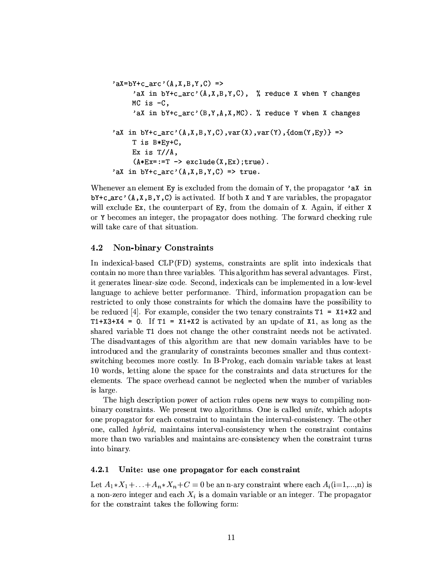```
'aX=bY+c_arc'(A,X,B,Y,C) =>
     'aX in bY+c_arc'(A,X,B,Y,C), % reduce X when Y changes
     MC is -C,
     'aX in bY+c_arc'(B, Y, A, X, MC). % reduce Y when X changes
'aX in bY+c_arc'(A,X,B,Y,C),var(X),var(Y),{dom(Y,Ey)} =>
     T is B*Ey+C,
     Ex is T//A.
     (A*Ex = := T - > 0 xclude(X, Ex); true).
'aX in bY+c arc'(A,X,B,Y,C) => true.
```
Whenever an element Ey is excluded from the domain of  $Y$ , the propagator 'aX in  $bY + c_arc' (A, X, B, Y, C)$  is activated. If both X and Y are variables, the propagator will exclude Ex, the counterpart of Ey, from the domain of X. Again, if either X or Y becomes an integer, the propagator does nothing. The forward checking rule will take care of that situation.

#### $4.2$ Non-binary Constraints

In indexical-based CLP(FD) systems, constraints are split into indexicals that contain no more than three variables. This algorithm has several advantages. First, it generates linear-size code. Second, indexicals can be implemented in a low-level language to achieve better performance. Third, information propagation can be restricted to only those constraints for which the domains have the possibility to be reduced [4]. For example, consider the two tenary constraints  $T1 = X1+X2$  and  $T1+X3+X4 = 0$ . If  $T1 = X1+X2$  is activated by an update of X1, as long as the shared variable T1 does not change the other constraint needs not be activated. The disadvantages of this algorithm are that new domain variables have to be introduced and the granularity of constraints becomes smaller and thus contextswitching becomes more costly. In B-Prolog, each domain variable takes at least 10 words, letting alone the space for the constraints and data structures for the elements. The space overhead cannot be neglected when the number of variables is large.

The high description power of action rules opens new ways to compiling nonbinary constraints. We present two algorithms. One is called *unite*, which adopts one propagator for each constraint to maintain the interval-consistency. The other one, called *hybrid*, maintains interval-consistency when the constraint contains more than two variables and maintains arc-consistency when the constraint turns into binary.

## 4.2.1 Unite: use one propagator for each constraint

Let  $A_1 * X_1 + ... + A_n * X_n + C = 0$  be an n-ary constraint where each  $A_i$  (i=1,...,n) is a non-zero integer and each  $X_i$  is a domain variable or an integer. The propagator for the constraint takes the following form: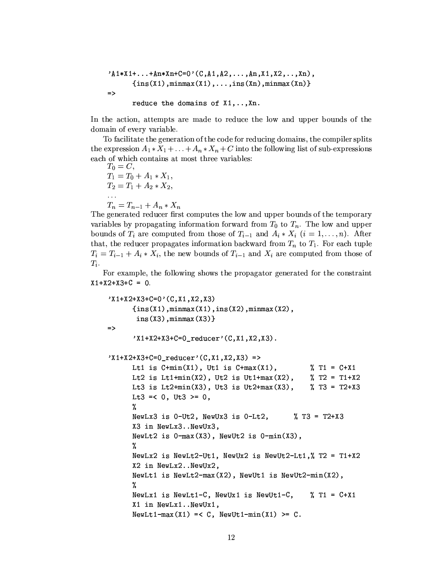```
'A1*X1+ \ldots + An*Xn+C=0 ' (C, A1, A2, ..., An, X1, X2, .., Xn),
        {\text{ins(X1)}, minmax(X1), ..., ins(Xn), minmax(Xn)}
\Rightarrowreduce the domains of X1, ... Xn.
```
In the action, attempts are made to reduce the low and upper bounds of the domain of every variable.

To facilitate the generation of the code for reducing domains, the compiler splits the expression  $A_1 * X_1 + \ldots + A_n * X_n + C$  into the following list of sub-expressions each of which contains at most three variables:

```
T_0 = C,
T_1 = T_0 + A_1 * X_1,T_2 = T_1 + A_2 * X_2,T_n = T_{n-1} + A_n * X_n
```
The generated reducer first computes the low and upper bounds of the temporary variables by propagating information forward from  $T_0$  to  $T_n$ . The low and upper bounds of  $T_i$  are computed from those of  $T_{i-1}$  and  $A_i * X_i$   $(i = 1, ..., n)$ . After that, the reducer propagates information backward from  $T_n$  to  $T_1$ . For each tuple  $T_i = T_{i-1} + A_i * X_i$ , the new bounds of  $T_{i-1}$  and  $X_i$  are computed from those of  $T_i$ .

For example, the following shows the propagator generated for the constraint  $X1+X2+X3+C = 0.$ 

```
'X1+X2+X3+C=0' (C, X1, X2, X3)
      {\text{ins(X1)}, minmax(X1), ins(X2), minmax(X2),
       ins(X3), minmax(X3)\Rightarrow'X1+X2+X3+C=0_reducer' (C,X1,X2,X3).'X1+X2+X3+C=0_reducer' (C,X1,X2,X3) =>
                                                   % T1 = C+X1Lt1 is C+min(X1), Ut1 is C+max(X1),
      Lt2 is Lt1+min(X2), Ut2 is Ut1+max(X2),
                                                    \sqrt{2} = T1 + X2Lt3 is Lt2+min(X3), Ut3 is Ut2+max(X3),
                                                   % T3 = T2+X3
      Lt3 =< 0, Ut3 >= 0,
      %
      NewLx3 is 0-Ut2, NewUx3 is 0-Lt2,
                                                % T3 = T2+X3
      X3 in NewLx3..NewUx3,
      NewLt2 is 0-max(X3), NewUt2 is 0-min(X3),
      %
      NewLx2 is NewLt2-Ut1, NewUx2 is NewUt2-Lt1,% T2 = T1+X2
      X2 in NewLx2..NewUx2,
      NewLt1 is NewLt2-max(X2), NewUt1 is NewUt2-min(X2),
      %
      NewLx1 is NewLt1-C, NewUx1 is NewUt1-C,
                                                    \frac{9}{2} T1 = C+X1
      X1 in NewLx1..NewUx1,
      NewLt1-max(X1) = < C, NewUt1-min(X1) >= C.
```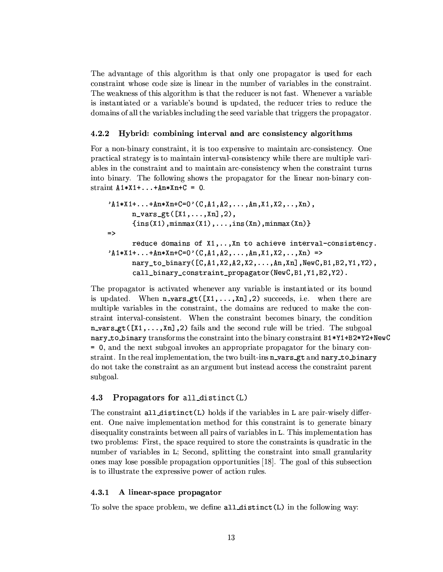The advantage of this algorithm is that only one propagator is used for each constraint whose code size is linear in the number of variables in the constraint. The weakness of this algorithm is that the reducer is not fast. Whenever a variable is instantiated or a variable's bound is updated, the reducer tries to reduce the domains of all the variables including the seed variable that triggers the propagator.

#### 4.2.2 Hybrid: combining interval and arc consistency algorithms

For a non-binary constraint, it is too expensive to maintain arc-consistency. One practical strategy is to maintain interval-consistency while there are multiple variables in the constraint and to maintain arc-consistency when the constraint turns into binary. The following shows the propagator for the linear non-binary constraint  $A1*X1+. . . .+An*Xn+C = 0.$ 

```
'A1*X1+...+An*Xn+C=0' (C, A1, A2, ..., An, X1, X2, ..., Xn),
      n_vars_gt([X1,...,Xn],2),{\max(X1), \minmax(X1), \ldots, \max(Xn), \minmax(Xn)}\Rightarrowreduce domains of X1,.., Xn to achieve interval-consistency.
'A1*X1+...+An*Xn+C=0' (C, A1, A2, ..., An, X1, X2, ..., Xn) =>
      nary_to_binary([C,A1,X2,A2,X2,...,An,Xn],NewC,B1,B2,Y1,Y2),
      call_binary_constraint_propagator(NewC,B1,Y1,B2,Y2).
```
The propagator is activated whenever any variable is instantiated or its bound is updated. When  $n\text{-}\text{vars}_{\text{F}}(x_1,...,x_n)$ , 2) succeeds, i.e. when there are multiple variables in the constraint, the domains are reduced to make the constraint interval-consistent. When the constraint becomes binary, the condition  $n_{\text{vars\_gt}}(x_1, \ldots, x_n)$ , 2) fails and the second rule will be tried. The subgoal nary\_to\_binary transforms the constraint into the binary constraint B1\*Y1+B2\*Y2+NewC  $= 0$ , and the next subgoal invokes an appropriate propagator for the binary constraint. In the real implementation, the two built-ins n\_vars\_gt and nary\_to\_binary do not take the constraint as an argument but instead access the constraint parent subgoal.

#### 4.3 Propagators for all\_distinct(L)

The constraint all\_distinct(L) holds if the variables in L are pair-wisely different. One naive implementation method for this constraint is to generate binary disequality constraints between all pairs of variables in L. This implementation has two problems: First, the space required to store the constraints is quadratic in the number of variables in L; Second, splitting the constraint into small granularity ones may lose possible propagation opportunities [18]. The goal of this subsection is to illustrate the expressive power of action rules.

#### A linear-space propagator 4.3.1

To solve the space problem, we define all\_distinct (L) in the following way: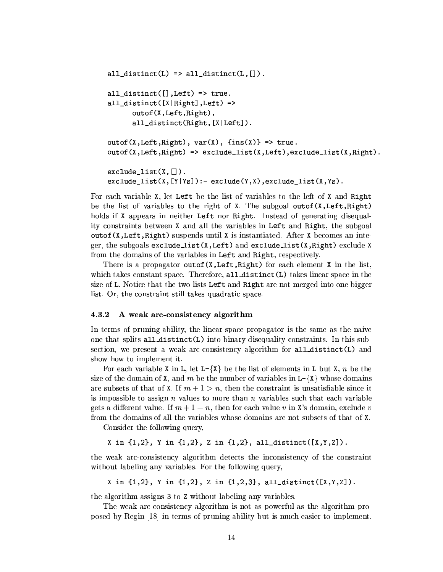```
all\_distinct(L) \Rightarrow all\_distinct(L, []).all\_distinct([],Left) \Rightarrow true.all_distinct([X|Right], Left) =>
      outof(X, Left, Right),
      all_distinct(Right, [X|Left]).
outof(X, Left, Right), var(X), fins(X) => true.
outof(X,Left,Right) => exclude_list(X,Left),exclude_list(X,Right).
exclude list(X, []).exclude\_list(X, [Y|Ys]) :- exclude(Y,X), exclude\_list(X,Ys).
```
For each variable X, let Left be the list of variables to the left of X and Right be the list of variables to the right of X. The subgoal outof(X, Left, Right) holds if X appears in neither Left nor Right. Instead of generating disequality constraints between X and all the variables in Left and Right, the subgoal outof  $(X, \text{Left}, \text{Right})$  suspends until X is instantiated. After X becomes an integer, the subgoals exclude list(X, Left) and exclude list(X, Right) exclude X from the domains of the variables in Left and Right, respectively.

There is a propagator outof(X, Left, Right) for each element X in the list, which takes constant space. Therefore, all distinct (L) takes linear space in the size of L. Notice that the two lists Left and Right are not merged into one bigger list. Or, the constraint still takes quadratic space.

#### 4.3.2 A weak arc-consistency algorithm

In terms of pruning ability, the linear-space propagator is the same as the naive one that splits all\_distinct(L) into binary disequality constraints. In this subsection, we present a weak arc-consistency algorithm for all\_distinct(L) and show how to implement it.

For each variable X in L, let L-{X} be the list of elements in L but X, n be the size of the domain of **X**, and m be the number of variables in  $L-\{X\}$  whose domains are subsets of that of **X**. If  $m + 1 > n$ , then the constraint is unsatisfiable since it is impossible to assign  $n$  values to more than  $n$  variables such that each variable gets a different value. If  $m + 1 = n$ , then for each value v in X's domain, exclude v from the domains of all the variables whose domains are not subsets of that of X.

Consider the following query,

X in  $\{1,2\}$ , Y in  $\{1,2\}$ , Z in  $\{1,2\}$ , all\_distinct( $[X,Y,Z]$ ).

the weak arc-consistency algorithm detects the inconsistency of the constraint without labeling any variables. For the following query,

X in  $\{1,2\}$ , Y in  $\{1,2\}$ , Z in  $\{1,2,3\}$ , all\_distinct( $[X,Y,Z]$ ).

the algorithm assigns 3 to Z without labeling any variables.

The weak arc-consistency algorithm is not as powerful as the algorithm proposed by Regin [18] in terms of pruning ability but is much easier to implement.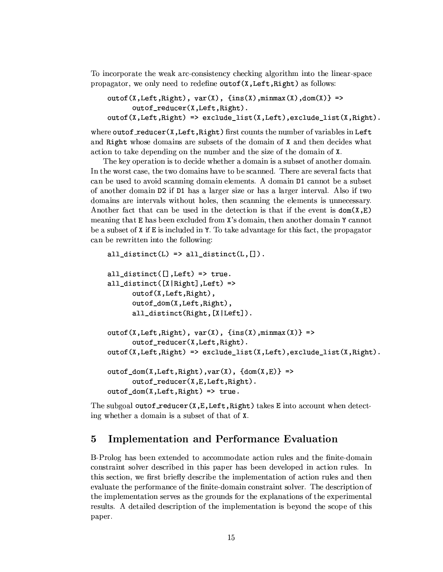To incorporate the weak arc-consistency checking algorithm into the linear-space propagator, we only need to redefine outof (X, Left, Right) as follows:

```
outof(X,Left,Right), var(X), fins(X),minmax(X),dom(X) =>
      outof_reducer(X, Left, Right).
outof(X, Left, Right) => exclude_list(X, Left), exclude_list(X, Right).
```
where out of reducer (X, Left, Right) first counts the number of variables in Left and Right whose domains are subsets of the domain of X and then decides what action to take depending on the number and the size of the domain of X.

The key operation is to decide whether a domain is a subset of another domain. In the worst case, the two domains have to be scanned. There are several facts that can be used to avoid scanning domain elements. A domain D1 cannot be a subset of another domain D2 if D1 has a larger size or has a larger interval. Also if two domains are intervals without holes, then scanning the elements is unnecessary. Another fact that can be used in the detection is that if the event is  $dom(X, E)$ meaning that E has been excluded from X's domain, then another domain Y cannot be a subset of X if E is included in Y. To take advantage for this fact, the propagator can be rewritten into the following:

```
all\_distinct(L) => all\_distinct(L, [].
```

```
all\_distinct([],Left) \Rightarrow true.all\_distinct([X|Right],Left) =>
      outof(X, Left, Right),
      outof_dom(X,Left,Right),
      all_distinct(Right, [X|Left]).
outof(X, Left, Right), var(X), fins(X), minmax(X) =>
      outof_reducer(X,Left,Right).
outof(X, Left, Right) => exclude\_list(X, Left), exclude\_list(X, Right).
outof\_dom(X, Left, Right), var(X), {dom(X, E)} =outof_reducer(X,E,Left,Right).
```

```
outof\_dom(X, Left, Right) => true.
```
The subgoal out of reducer  $(X, E, Left, Right)$  takes E into account when detecting whether a domain is a subset of that of X.

#### 5 **Implementation and Performance Evaluation**

B-Prolog has been extended to accommodate action rules and the finite-domain constraint solver described in this paper has been developed in action rules. In this section, we first briefly describe the implementation of action rules and then evaluate the performance of the finite-domain constraint solver. The description of the implementation serves as the grounds for the explanations of the experimental results. A detailed description of the implementation is beyond the scope of this paper.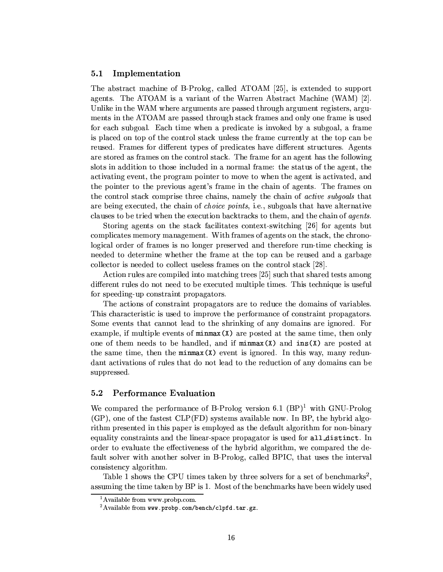#### $5.1$ Implementation

The abstract machine of B-Prolog, called ATOAM [25], is extended to support agents. The ATOAM is a variant of the Warren Abstract Machine (WAM) [2]. Unlike in the WAM where arguments are passed through argument registers, arguments in the ATOAM are passed through stack frames and only one frame is used for each subgoal. Each time when a predicate is invoked by a subgoal, a frame is placed on top of the control stack unless the frame currently at the top can be reused. Frames for different types of predicates have different structures. Agents are stored as frames on the control stack. The frame for an agent has the following slots in addition to those included in a normal frame: the status of the agent, the activating event, the program pointer to move to when the agent is activated, and the pointer to the previous agent's frame in the chain of agents. The frames on the control stack comprise three chains, namely the chain of *active subgoals* that are being executed, the chain of *choice points*, i.e., subgoals that have alternative clauses to be tried when the execution backtracks to them, and the chain of *agents*.

Storing agents on the stack facilitates context-switching [26] for agents but complicates memory management. With frames of agents on the stack, the chronological order of frames is no longer preserved and therefore run-time checking is needed to determine whether the frame at the top can be reused and a garbage collector is needed to collect useless frames on the control stack [28].

Action rules are compiled into matching trees [25] such that shared tests among different rules do not need to be executed multiple times. This technique is useful for speeding-up constraint propagators.

The actions of constraint propagators are to reduce the domains of variables. This characteristic is used to improve the performance of constraint propagators. Some events that cannot lead to the shrinking of any domains are ignored. For example, if multiple events of  $minmax(X)$  are posted at the same time, then only one of them needs to be handled, and if  $minmax(X)$  and  $ins(X)$  are posted at the same time, then the  $minmax(X)$  event is ignored. In this way, many redundant activations of rules that do not lead to the reduction of any domains can be suppressed.

#### **Performance Evaluation** 5.2

We compared the performance of B-Prolog version 6.1  $(BP)^1$  with GNU-Prolog  $(GP)$ , one of the fastest  $CLP(FD)$  systems available now. In BP, the hybrid algorithm presented in this paper is employed as the default algorithm for non-binary equality constraints and the linear-space propagator is used for all-distinct. In order to evaluate the effectiveness of the hybrid algorithm, we compared the default solver with another solver in B-Prolog, called BPIC, that uses the interval consistency algorithm.

Table 1 shows the CPU times taken by three solvers for a set of benchmarks<sup>2</sup>, assuming the time taken by BP is 1. Most of the benchmarks have been widely used

 $1$  Available from www.probp.com.

<sup>&</sup>lt;sup>2</sup> Available from www.probp.com/bench/clpfd.tar.gz.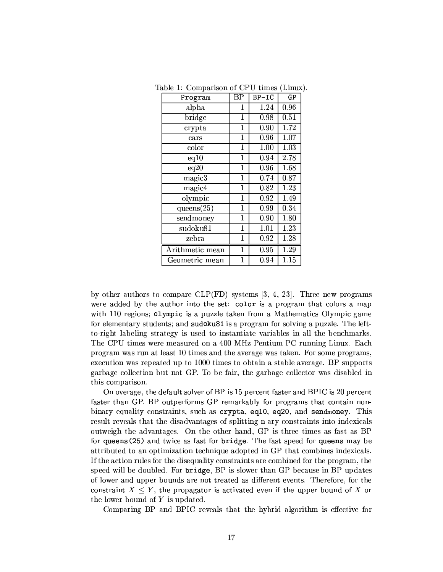| Program         | ΒP             | BP-IC | GP         |
|-----------------|----------------|-------|------------|
| alpha           | 1              | 1.24  | 0.96       |
| bridge          | 1              | 0.98  | 0.51       |
| crypta          | 1              | 0.90  | 1.72       |
| cars            | 1              | 0.96  | 1.07       |
| color           | 1              | 1.00  | 1.03       |
| eq10            | $\overline{1}$ | 0.94  | 2.78       |
| eq20            | 1              | 0.96  | 1.68       |
| magic3          | 1              | 0.74  | 0.87       |
| magic4          | 1              | 0.82  | 1.23       |
| olympic         | 1              | 0.92  | 1.49       |
| queens $(25)$   | 1              | 0.99  | $\rm 0.34$ |
| sendmoney       | 1              | 0.90  | 1.80       |
| sudoku81        | 1              | 1.01  | 1.23       |
| zebra           | 1              | 0.92  | 1.28       |
| Arithmetic mean | 1              | 0.95  | 1.29       |
| Geometric mean  | 1              | 0.94  | 1.15       |

Table 1: Comparison of CPU times (Linux).

by other authors to compare  $CLP(FD)$  systems [3, 4, 23]. Three new programs were added by the author into the set: color is a program that colors a map with 110 regions; olympic is a puzzle taken from a Mathematics Olympic game for elementary students; and sudoku81 is a program for solving a puzzle. The leftto-right labeling strategy is used to instantiate variables in all the benchmarks. The CPU times were measured on a 400 MHz Pentium PC running Linux. Each program was run at least 10 times and the average was taken. For some programs, execution was repeated up to 1000 times to obtain a stable average. BP supports garbage collection but not GP. To be fair, the garbage collector was disabled in this comparison.

On overage, the default solver of BP is 15 percent faster and BPIC is 20 percent faster than GP. BP outperforms GP remarkably for programs that contain nonbinary equality constraints, such as crypta, eq10, eq20, and sendmoney. This result reveals that the disadvantages of splitting n-ary constraints into indexicals outweigh the advantages. On the other hand, GP is three times as fast as BP for queens (25) and twice as fast for bridge. The fast speed for queens may be attributed to an optimization technique adopted in GP that combines indexicals. If the action rules for the disequality constraints are combined for the program, the speed will be doubled. For bridge, BP is slower than GP because in BP updates of lower and upper bounds are not treated as different events. Therefore, for the constraint  $X \leq Y$ , the propagator is activated even if the upper bound of X or the lower bound of  $Y$  is updated.

Comparing BP and BPIC reveals that the hybrid algorithm is effective for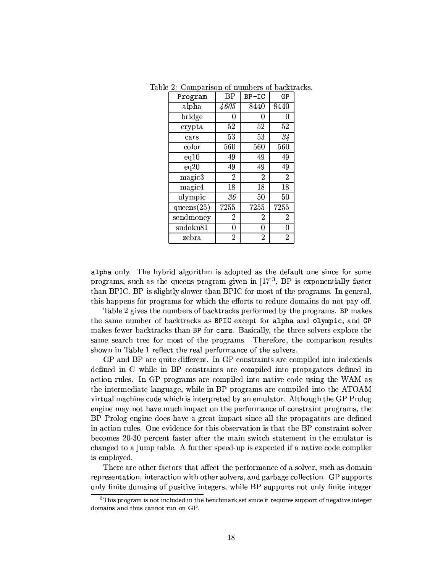| Program          | BP             | $BP-IC$        | GP             |
|------------------|----------------|----------------|----------------|
| alpha            | 4605           | 8440           | 8440           |
| bridge           | 0              | 0              | 0              |
| crypta           | 52             | 52             | 52             |
| cars             | 53             | 53             | 34             |
| $\rm color$      | 560            | 560            | 560            |
| eq10             | 49             | 49             | 49             |
| eq20             | 49             | 49             | 49             |
| magic3           | $\overline{2}$ | $\overline{2}$ | $\overline{2}$ |
| magic4           | 18             | 18             | 18             |
| olympic          | 36             | 50             | 50             |
| queens $(25)$    | 7255           | 7255           | 7255           |
| $\rm send money$ | $\overline{2}$ | $\overline{2}$ | $\overline{2}$ |
| sudoku81         | 0              | 0              | 0              |
| zebra            | $\overline{2}$ | 2              | 2              |

Table 2: Comparison of numbers of backtracks.

alpha only. The hybrid algorithm is adopted as the default one since for some programs, such as the queens program given in  $[17]^3$ , BP is exponentially faster than BPIC. BP is slightly slower than BPIC for most of the programs. In general, this happens for programs for which the efforts to reduce domains do not pay off.

Table 2 gives the numbers of backtracks performed by the programs. BP makes the same number of backtracks as BPIC except for alpha and olympic, and GP makes fewer backtracks than BP for cars. Basically, the three solvers explore the same search tree for most of the programs. Therefore, the comparison results shown in Table 1 reflect the real performance of the solvers.

GP and BP are quite different. In GP constraints are compiled into indexicals defined in C while in BP constraints are compiled into propagators defined in action rules. In GP programs are compiled into native code using the WAM as the intermediate language, while in BP programs are compiled into the ATOAM virtual machine code which is interpreted by an emulator. Although the GP Prolog engine may not have much impact on the performance of constraint programs, the BP Prolog engine does have a great impact since all the propagators are defined in action rules. One evidence for this observation is that the BP constraint solver becomes 20-30 percent faster after the main switch statement in the emulator is changed to a jump table. A further speed-up is expected if a native code compiler is employed.

There are other factors that affect the performance of a solver, such as domain representation, interaction with other solvers, and garbage collection. GP supports only finite domains of positive integers, while BP supports not only finite integer

 $\rm{^{3}This}$  program is not included in the benchmark set since it requires support of negative integer domains and thus cannot run on GP.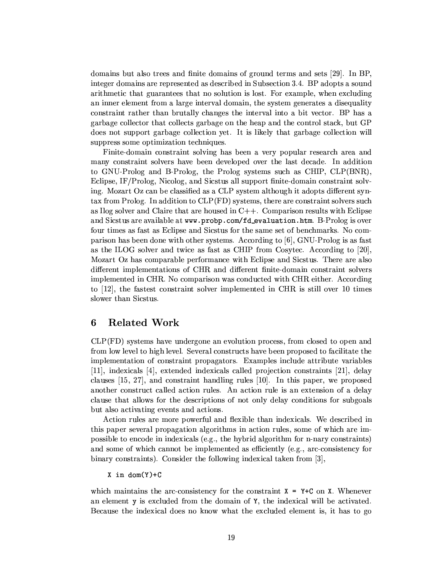domains but also trees and finite domains of ground terms and sets [29]. In BP, integer domains are represented as described in Subsection 3.4. BP adopts a sound arithmetic that guarantees that no solution is lost. For example, when excluding an inner element from a large interval domain, the system generates a disequality constraint rather than brutally changes the interval into a bit vector. BP has a garbage collector that collects garbage on the heap and the control stack, but GP does not support garbage collection yet. It is likely that garbage collection will suppress some optimization techniques.

Finite-domain constraint solving has been a very popular research area and many constraint solvers have been developed over the last decade. In addition to GNU-Prolog and B-Prolog, the Prolog systems such as CHIP, CLP(BNR). Eclipse, IF/Prolog, Nicolog, and Sicstus all support finite-domain constraint solving. Mozart Oz can be classified as a CLP system although it adopts different syntax from Prolog. In addition to CLP(FD) systems, there are constraint solvers such as Ilog solver and Claire that are housed in  $C++$ . Comparison results with Eclipse and Sicstus are available at www.probp.com/fd\_evaluation.htm. B-Prolog is over four times as fast as Eclipse and Sicstus for the same set of benchmarks. No comparison has been done with other systems. According to [6], GNU-Prolog is as fast as the ILOG solver and twice as fast as CHIP from Cosytec. According to [20], Mozart Oz has comparable performance with Eclipse and Sicstus. There are also different implementations of CHR and different finite-domain constraint solvers implemented in CHR. No comparison was conducted with CHR either. According to [12], the fastest constraint solver implemented in CHR is still over 10 times slower than Sicstus.

#### **Related Work** 6

 $CLP(FD)$  systems have undergone an evolution process, from closed to open and from low level to high level. Several constructs have been proposed to facilitate the implementation of constraint propagators. Examples include attribute variables [11], indexicals [4], extended indexicals called projection constraints [21], delay clauses  $[15, 27]$ , and constraint handling rules  $[10]$ . In this paper, we proposed another construct called action rules. An action rule is an extension of a delay clause that allows for the descriptions of not only delay conditions for subgoals but also activating events and actions.

Action rules are more powerful and flexible than indexicals. We described in this paper several propagation algorithms in action rules, some of which are impossible to encode in indexicals (e.g., the hybrid algorithm for n-nary constraints) and some of which cannot be implemented as efficiently (e.g., arc-consistency for binary constraints). Consider the following indexical taken from [3],

 $X$  in dom $(Y) + C$ 

which maintains the arc-consistency for the constraint  $X = Y+C$  on X. Whenever an element y is excluded from the domain of Y, the indexical will be activated. Because the indexical does no know what the excluded element is, it has to go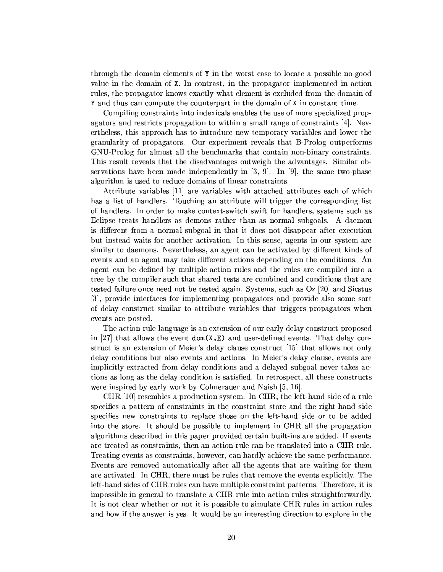through the domain elements of Y in the worst case to locate a possible no-good value in the domain of X. In contrast, in the propagator implemented in action rules, the propagator knows exactly what element is excluded from the domain of Y and thus can compute the counterpart in the domain of X in constant time.

Compiling constraints into indexical enables the use of more specialized propagators and restricts propagation to within a small range of constraints [4]. Nevertheless, this approach has to introduce new temporary variables and lower the granularity of propagators. Our experiment reveals that B-Prolog outperforms GNU-Prolog for almost all the benchmarks that contain non-binary constraints. This result reveals that the disadvantages outweigh the advantages. Similar observations have been made independently in [3, 9]. In [9], the same two-phase algorithm is used to reduce domains of linear constraints.

Attribute variables [11] are variables with attached attributes each of which has a list of handlers. Touching an attribute will trigger the corresponding list of handlers. In order to make context-switch swift for handlers, systems such as Eclipse treats handlers as demons rather than as normal subgoals. A daemon is different from a normal subgoal in that it does not disappear after execution but instead waits for another activation. In this sense, agents in our system are similar to daemons. Nevertheless, an agent can be activated by different kinds of events and an agent may take different actions depending on the conditions. An agent can be defined by multiple action rules and the rules are compiled into a tree by the compiler such that shared tests are combined and conditions that are tested failure once need not be tested again. Systems, such as Oz [20] and Sicstus [3], provide interfaces for implementing propagators and provide also some sort of delay construct similar to attribute variables that triggers propagators when events are posted.

The action rule language is an extension of our early delay construct proposed in [27] that allows the event  $dom(X, E)$  and user-defined events. That delay construct is an extension of Meier's delay clause construct [15] that allows not only delay conditions but also events and actions. In Meier's delay clause, events are implicitly extracted from delay conditions and a delayed subgoal never takes actions as long as the delay condition is satisfied. In retrospect, all these constructs were inspired by early work by Colmerauer and Naish [5, 16].

CHR [10] resembles a production system. In CHR, the left-hand side of a rule specifies a pattern of constraints in the constraint store and the right-hand side specifies new constraints to replace those on the left-hand side or to be added into the store. It should be possible to implement in CHR all the propagation algorithms described in this paper provided certain built-ins are added. If events are treated as constraints, then an action rule can be translated into a CHR rule. Treating events as constraints, however, can hardly achieve the same performance. Events are removed automatically after all the agents that are waiting for them are activated. In CHR, there must be rules that remove the events explicitly. The left-hand sides of CHR rules can have multiple constraint patterns. Therefore, it is impossible in general to translate a CHR rule into action rules straightforwardly. It is not clear whether or not it is possible to simulate CHR rules in action rules and how if the answer is yes. It would be an interesting direction to explore in the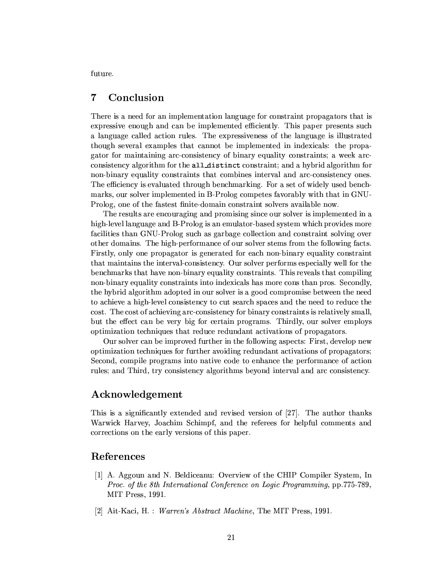future.

#### $\overline{7}$ Conclusion

There is a need for an implementation language for constraint propagators that is expressive enough and can be implemented efficiently. This paper presents such a language called action rules. The expressiveness of the language is illustrated though several examples that cannot be implemented in indexicals: the propagator for maintaining arc-consistency of binary equality constraints; a week arcconsistency algorithm for the all\_distinct constraint; and a hybrid algorithm for non-binary equality constraints that combines interval and arc-consistency ones. The efficiency is evaluated through benchmarking. For a set of widely used benchmarks, our solver implemented in B-Prolog competes favorably with that in GNU-Prolog, one of the fastest finite-domain constraint solvers available now.

The results are encouraging and promising since our solver is implemented in a high-level language and B-Prolog is an emulator-based system which provides more facilities than GNU-Prolog such as garbage collection and constraint solving over other domains. The high-performance of our solver stems from the following facts. Firstly, only one propagator is generated for each non-binary equality constraint that maintains the interval-consistency. Our solver performs especially well for the benchmarks that have non-binary equality constraints. This reveals that compiling non-binary equality constraints into indexicals has more cons than pros. Secondly, the hybrid algorithm adopted in our solver is a good compromise between the need to achieve a high-level consistency to cut search spaces and the need to reduce the cost. The cost of achieving arc-consistency for binary constraints is relatively small, but the effect can be very big for certain programs. Thirdly, our solver employs optimization techniques that reduce redundant activations of propagators.

Our solver can be improved further in the following aspects: First, develop new optimization techniques for further avoiding redundant activations of propagators; Second, compile programs into native code to enhance the performance of action rules; and Third, try consistency algorithms beyond interval and arc consistency.

# Acknowledgement

This is a significantly extended and revised version of [27]. The author thanks Warwick Harvey, Joachim Schimpf, and the referees for helpful comments and corrections on the early versions of this paper.

# References

- [1] A. Aggoun and N. Beldiceanu: Overview of the CHIP Compiler System, In Proc. of the 8th International Conference on Logic Programming, pp.775-789, MIT Press, 1991.
- [2] Ait-Kaci, H. : Warren's Abstract Machine, The MIT Press, 1991.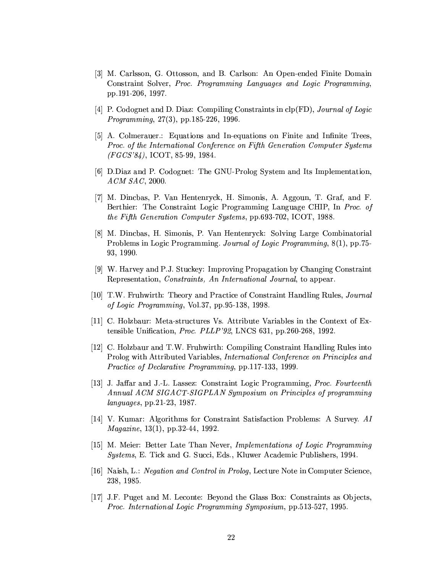- [3] M. Carlsson, G. Ottosson, and B. Carlson: An Open-ended Finite Domain Constraint Solver, Proc. Programming Languages and Logic Programming. pp.191-206, 1997.
- [4] P. Codognet and D. Diaz: Compiling Constraints in  $clp(FD)$ , Journal of Logic *Programming*,  $27(3)$ , pp. 185-226, 1996.
- [5] A. Colmerauer.: Equations and In-equations on Finite and Infinite Trees, Proc. of the International Conference on Fifth Generation Computer Systems  $(FGCS'84)$ , ICOT, 85-99, 1984.
- [6] D.Diaz and P. Codognet: The GNU-Prolog System and Its Implementation.  $ACM$  SAC, 2000.
- [7] M. Dincbas, P. Van Hentenryck, H. Simonis, A. Aggoun, T. Graf, and F. Berthier: The Constraint Logic Programming Language CHIP, In Proc. of the Fifth Generation Computer Systems, pp.693-702, ICOT, 1988.
- [8] M. Dincbas, H. Simonis, P. Van Hentenryck: Solving Large Combinatorial Problems in Logic Programming. Journal of Logic Programming,  $8(1)$ , pp.75-93, 1990.
- [9] W. Harvey and P.J. Stuckey: Improving Propagation by Changing Constraint Representation, *Constraints*, An International Journal, to appear.
- [10] T.W. Fruhwirth: Theory and Practice of Constraint Handling Rules, *Journal* of Logic Programming, Vol.37, pp.95-138, 1998.
- [11] C. Holzbaur: Meta-structures Vs. Attribute Variables in the Context of Extensible Unification, *Proc. PLLP'92*, LNCS  $631$ , pp. 260-268, 1992.
- [12] C. Holzbaur and T.W. Fruhwirth: Compiling Constraint Handling Rules into Prolog with Attributed Variables, International Conference on Principles and *Practice of Declarative Programming, pp.117-133, 1999.*
- [13] J. Jaffar and J.-L. Lassez: Constraint Logic Programming, *Proc. Fourteenth* Annual ACM SIGACT-SIGPLAN Symposium on Principles of programming  $languages$ , pp.21-23, 1987.
- [14] V. Kumar: Algorithms for Constraint Satisfaction Problems: A Survey. Al  $Magazine, 13(1), pp.32-44, 1992.$
- [15] M. Meier: Better Late Than Never, Implementations of Logic Programming Systems, E. Tick and G. Succi, Eds., Kluwer Academic Publishers, 1994.
- [16] Naish, L.: *Negation and Control in Prolog*, Lecture Note in Computer Science. 238, 1985.
- [17] J.F. Puget and M. Leconte: Beyond the Glass Box: Constraints as Objects, Proc. International Logic Programming Symposium, pp.513-527, 1995.